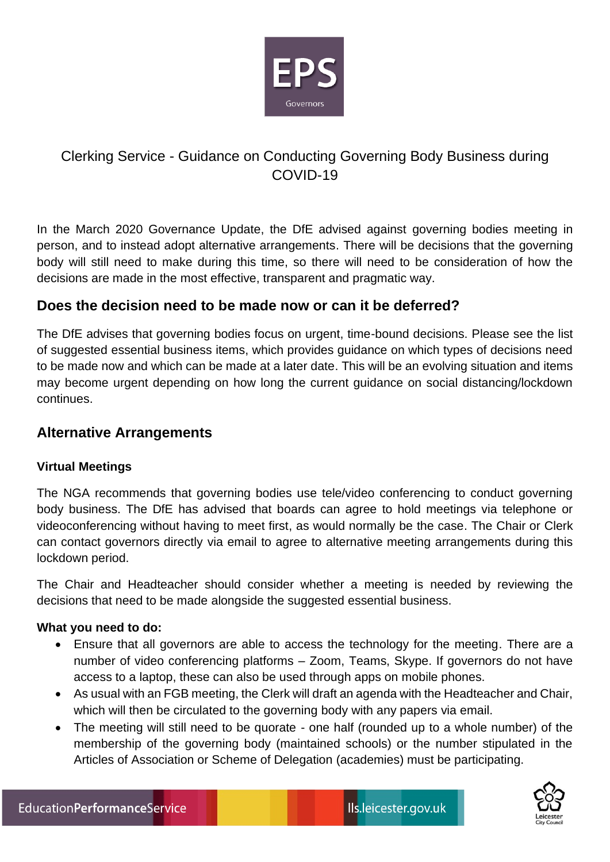

# Clerking Service - Guidance on Conducting Governing Body Business during COVID-19

In the March 2020 Governance Update, the DfE advised against governing bodies meeting in person, and to instead adopt alternative arrangements. There will be decisions that the governing body will still need to make during this time, so there will need to be consideration of how the decisions are made in the most effective, transparent and pragmatic way.

# **Does the decision need to be made now or can it be deferred?**

The DfE advises that governing bodies focus on urgent, time-bound decisions. Please see the list of suggested essential business items, which provides guidance on which types of decisions need to be made now and which can be made at a later date. This will be an evolving situation and items may become urgent depending on how long the current guidance on social distancing/lockdown continues.

# **Alternative Arrangements**

## **Virtual Meetings**

The NGA recommends that governing bodies use tele/video conferencing to conduct governing body business. The DfE has advised that boards can agree to hold meetings via telephone or videoconferencing without having to meet first, as would normally be the case. The Chair or Clerk can contact governors directly via email to agree to alternative meeting arrangements during this lockdown period.

The Chair and Headteacher should consider whether a meeting is needed by reviewing the decisions that need to be made alongside the suggested essential business.

## **What you need to do:**

- Ensure that all governors are able to access the technology for the meeting. There are a number of video conferencing platforms – Zoom, Teams, Skype. If governors do not have access to a laptop, these can also be used through apps on mobile phones.
- As usual with an FGB meeting, the Clerk will draft an agenda with the Headteacher and Chair, which will then be circulated to the governing body with any papers via email.
- The meeting will still need to be quorate one half (rounded up to a whole number) of the membership of the governing body (maintained schools) or the number stipulated in the Articles of Association or Scheme of Delegation (academies) must be participating.

 $\overline{\phantom{a}}$ 

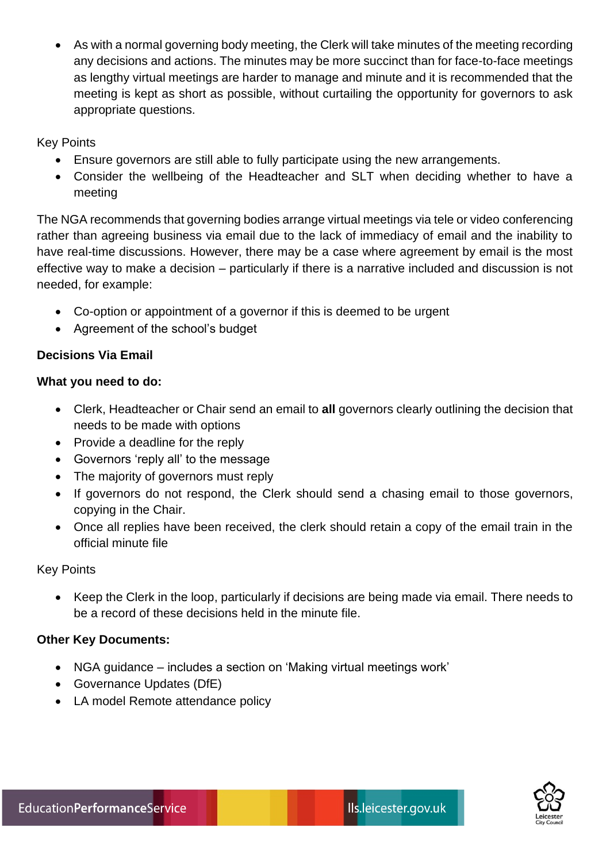• As with a normal governing body meeting, the Clerk will take minutes of the meeting recording any decisions and actions. The minutes may be more succinct than for face-to-face meetings as lengthy virtual meetings are harder to manage and minute and it is recommended that the meeting is kept as short as possible, without curtailing the opportunity for governors to ask appropriate questions.

#### Key Points

- Ensure governors are still able to fully participate using the new arrangements.
- Consider the wellbeing of the Headteacher and SLT when deciding whether to have a meeting

The NGA recommends that governing bodies arrange virtual meetings via tele or video conferencing rather than agreeing business via email due to the lack of immediacy of email and the inability to have real-time discussions. However, there may be a case where agreement by email is the most effective way to make a decision – particularly if there is a narrative included and discussion is not needed, for example:

- Co-option or appointment of a governor if this is deemed to be urgent
- Agreement of the school's budget

## **Decisions Via Email**

#### **What you need to do:**

- Clerk, Headteacher or Chair send an email to **all** governors clearly outlining the decision that needs to be made with options
- Provide a deadline for the reply
- Governors 'reply all' to the message
- The majority of governors must reply
- If governors do not respond, the Clerk should send a chasing email to those governors, copying in the Chair.
- Once all replies have been received, the clerk should retain a copy of the email train in the official minute file

#### Key Points

• Keep the Clerk in the loop, particularly if decisions are being made via email. There needs to be a record of these decisions held in the minute file.

#### **Other Key Documents:**

- NGA guidance includes a section on 'Making virtual meetings work'
- Governance Updates (DfE)
- LA model Remote attendance policy



 $\overline{\phantom{a}}$